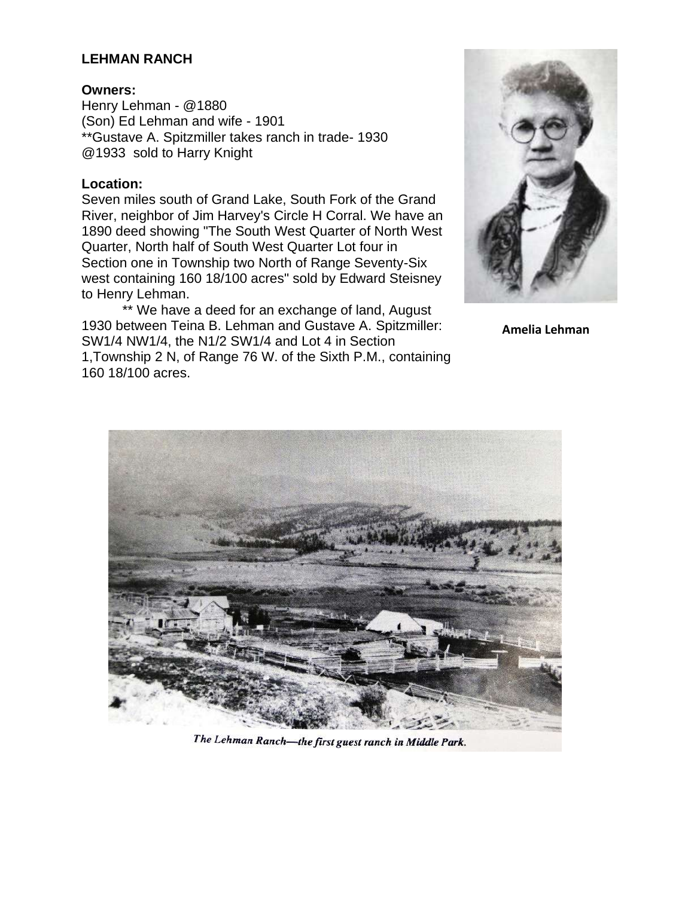### **LEHMAN RANCH**

### **Owners:**

Henry Lehman - @1880 (Son) Ed Lehman and wife - 1901 \*\*Gustave A. Spitzmiller takes ranch in trade- 1930 @1933 sold to Harry Knight

#### **Location:**

Seven miles south of Grand Lake, South Fork of the Grand River, neighbor of Jim Harvey's Circle H Corral. We have an 1890 deed showing "The South West Quarter of North West Quarter, North half of South West Quarter Lot four in Section one in Township two North of Range Seventy-Six west containing 160 18/100 acres" sold by Edward Steisney to Henry Lehman.

\*\* We have a deed for an exchange of land, August 1930 between Teina B. Lehman and Gustave A. Spitzmiller: SW1/4 NW1/4, the N1/2 SW1/4 and Lot 4 in Section 1,Township 2 N, of Range 76 W. of the Sixth P.M., containing 160 18/100 acres.



**Amelia Lehman**



The Lehman Ranch-the first guest ranch in Middle Park.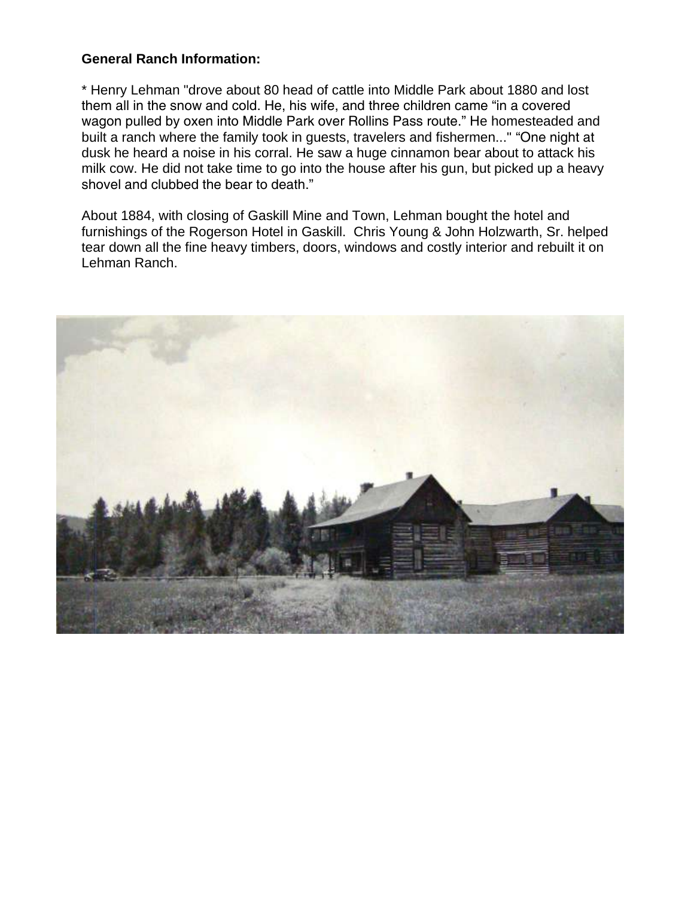# **General Ranch Information:**

\* Henry Lehman "drove about 80 head of cattle into Middle Park about 1880 and lost them all in the snow and cold. He, his wife, and three children came "in a covered wagon pulled by oxen into Middle Park over Rollins Pass route." He homesteaded and built a ranch where the family took in guests, travelers and fishermen..." "One night at dusk he heard a noise in his corral. He saw a huge cinnamon bear about to attack his milk cow. He did not take time to go into the house after his gun, but picked up a heavy shovel and clubbed the bear to death."

About 1884, with closing of Gaskill Mine and Town, Lehman bought the hotel and furnishings of the Rogerson Hotel in Gaskill. Chris Young & John Holzwarth, Sr. helped tear down all the fine heavy timbers, doors, windows and costly interior and rebuilt it on Lehman Ranch.